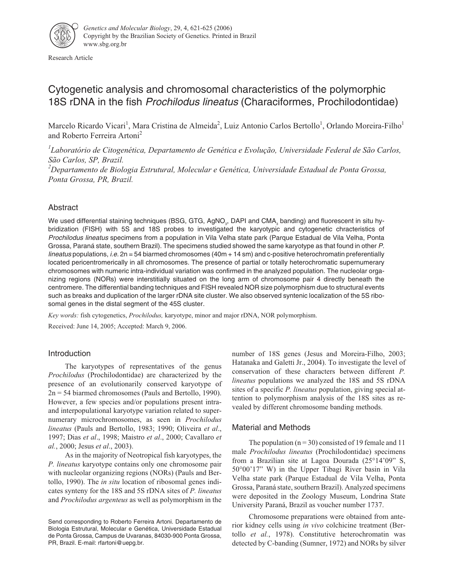

Research Article

# Cytogenetic analysis and chromosomal characteristics of the polymorphic 18S rDNA in the fish *Prochilodus lineatus* (Characiformes, Prochilodontidae)

Marcelo Ricardo Vicari<sup>1</sup>, Mara Cristina de Almeida<sup>2</sup>, Luiz Antonio Carlos Bertollo<sup>1</sup>, Orlando Moreira-Filho<sup>1</sup> and Roberto Ferreira Artoni<sup>2</sup>

*1 Laboratório de Citogenética, Departamento de Genética e Evolução, Universidade Federal de São Carlos, São Carlos, SP, Brazil. 2 Departamento de Biologia Estrutural, Molecular e Genética, Universidade Estadual de Ponta Grossa,*

*Ponta Grossa, PR, Brazil.*

## Abstract

We used differential staining techniques (BSG, GTG, AgNO<sub>2</sub>, DAPI and CMA<sub>2</sub> banding) and fluorescent in situ hybridization (FISH) with 5S and 18S probes to investigated the karyotypic and cytogenetic chracteristics of Prochilodus lineatus specimens from a population in Vila Velha state park (Parque Estadual de Vila Velha, Ponta Grossa, Paraná state, southern Brazil). The specimens studied showed the same karyotype as that found in other P. lineatus populations, i.e.  $2n = 54$  biarmed chromosomes (40m  $+$  14 sm) and c-positive heterochromatin preferentially located pericentromerically in all chromosomes. The presence of partial or totally heterochromatic supernumerary chromosomes with numeric intra-individual variation was confirmed in the analyzed population. The nucleolar organizing regions (NORs) were interstitially situated on the long arm of chromosome pair 4 directly beneath the centromere. The differential banding techniques and FISH revealed NOR size polymorphism due to structural events such as breaks and duplication of the larger rDNA site cluster. We also observed syntenic localization of the 5S ribosomal genes in the distal segment of the 45S cluster.

*Key words:* fish cytogenetics, *Prochilodus,* karyotype, minor and major rDNA, NOR polymorphism.

Received: June 14, 2005; Accepted: March 9, 2006.

## Introduction

The karyotypes of representatives of the genus *Prochilodus* (Prochilodontidae) are characterized by the presence of an evolutionarily conserved karyotype of 2n = 54 biarmed chromosomes (Pauls and Bertollo, 1990). However, a few species and/or populations present intraand interpopulational karyotype variation related to supernumerary microchromosomes, as seen in *Prochilodus lineatus* (Pauls and Bertollo, 1983; 1990; Oliveira *et al*., 1997; Dias *et al*., 1998; Maistro *et al*., 2000; Cavallaro *et al.*, 2000; Jesus *et al*., 2003).

As in the majority of Neotropical fish karyotypes, the *P. lineatus* karyotype contains only one chromosome pair with nucleolar organizing regions (NORs) (Pauls and Bertollo, 1990). The *in situ* location of ribosomal genes indicates synteny for the 18S and 5S rDNA sites of *P. lineatus* and *Prochilodus argenteus* as well as polymorphism in the number of 18S genes (Jesus and Moreira-Filho, 2003; Hatanaka and Galetti Jr., 2004). To investigate the level of conservation of these characters between different *P. lineatus* populations we analyzed the 18S and 5S rDNA sites of a specific *P. lineatus* population, giving special attention to polymorphism analysis of the 18S sites as revealed by different chromosome banding methods.

## Material and Methods

The population ( $n = 30$ ) consisted of 19 female and 11 male *Prochilodus lineatus* (Prochilodontidae) specimens from a Brazilian site at Lagoa Dourada (25°14'09" S, 50°00'17" W) in the Upper Tibagi River basin in Vila Velha state park (Parque Estadual de Vila Velha, Ponta Grossa, Paraná state, southern Brazil). Analyzed specimens were deposited in the Zoology Museum, Londrina State University Paraná, Brazil as voucher number 1737.

Chromosome preparations were obtained from anterior kidney cells using *in vivo* colchicine treatment (Bertollo *et al.*, 1978). Constitutive heterochromatin was detected by C-banding (Sumner, 1972) and NORs by silver

Send corresponding to Roberto Ferreira Artoni. Departamento de Biologia Estrutural, Molecular e Genética, Universidade Estadual de Ponta Grossa, Campus de Uvaranas, 84030-900 Ponta Grossa, PR, Brazil. E-mail: rfartoni@uepg.br.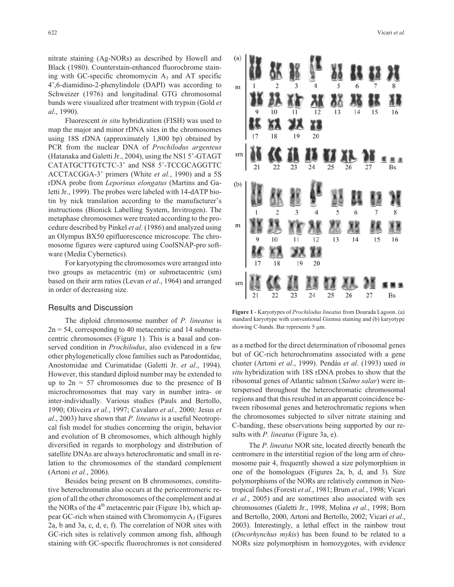nitrate staining (Ag-NORs) as described by Howell and Black (1980). Counterstain-enhanced fluorochrome staining with GC-specific chromomycin  $A_3$  and AT specific 4',6-diamidino-2-phenylindole (DAPI) was according to Schweizer (1976) and longitudinal GTG chromosomal bands were visualized after treatment with trypsin (Gold *et al*., 1990).

Fluorescent *in situ* hybridization (FISH) was used to map the major and minor rDNA sites in the chromosomes using 18S rDNA (approximately 1,800 bp) obtained by PCR from the nuclear DNA of *Prochilodus argenteus* (Hatanaka and Galetti Jr., 2004), using the NS1 5'-GTAGT CATATGCTTGTCTC-3' and NS8 5'-TCCGCAGGTTC ACCTACGGA-3' primers (White *et al.*, 1990) and a 5S rDNA probe from *Leporinus elongatus* (Martins and Galetti Jr., 1999). The probes were labeled with 14-dATP biotin by nick translation according to the manufacturer's instructions (Bionick Labelling System, Invitrogen). The metaphase chromosomes were treated according to the procedure described by Pinkel *et al*. (1986) and analyzed using an Olympus BX50 epifluorescence microscope. The chromosome figures were captured using CoolSNAP-pro software (Media Cybernetics).

For karyotyping the chromosomes were arranged into two groups as metacentric (m) or submetacentric (sm) based on their arm ratios (Levan *et al*., 1964) and arranged in order of decreasing size.

#### Results and Discussion

The diploid chromosome number of *P. lineatus* is  $2n = 54$ , corresponding to 40 metacentric and 14 submetacentric chromosomes (Figure 1). This is a basal and conserved condition in *Prochilodus*, also evidenced in a few other phylogenetically close families such as Parodontidae, Anostomidae and Curimatidae (Galetti Jr. *et al*., 1994). However, this standard diploid number may be extended to up to  $2n = 57$  chromosomes due to the presence of B microchromosomes that may vary in number intra- or inter-individually. Various studies (Pauls and Bertollo, 1990; Oliveira *et al.*, 1997; Cavalaro *et al.,* 2000*;* Jesus *et al*., 2003) have shown that *P. lineatus* is a useful Neotropical fish model for studies concerning the origin, behavior and evolution of B chromosomes, which although highly diversified in regards to morphology and distribution of satellite DNAs are always heterochromatic and small in relation to the chromosomes of the standard complement (Artoni *et al.*, 2006).

Besides being present on B chromosomes, constitutive heterochromatin also occurs at the pericentromeric region of all the other chromosomes of the complement and at the NORs of the  $4<sup>th</sup>$  metacentric pair (Figure 1b), which appear GC-rich when stained with Chromomycin  $A_3$  (Figures 2a, b and 3a, c, d, e, f). The correlation of NOR sites with GC-rich sites is relatively common among fish, although staining with GC-specific fluorochromes is not considered

#### 622 Vicari *et al.*



**Figure 1** - Karyotypes of *Prochilodus lineatus* from Dourada Lagoon. (a) standard karyotype with conventional Giemsa staining and (b) karyotype showing C-bands. Bar represents  $5 \mu m$ .

as a method for the direct determination of ribosomal genes but of GC-rich heterochromatins associated with a gene cluster (Artoni *et al*., 1999). Pendás *et al*. (1993) used *in situ* hybridization with 18S rDNA probes to show that the ribosomal genes of Atlantic salmon (*Salmo salar*) were interspersed throughout the heterochromatic chromosomal regions and that this resulted in an apparent coincidence between ribosomal genes and heterochromatic regions when the chromosomes subjected to silver nitrate staining and C-banding, these observations being supported by our results with *P. lineatus* (Figure 3a, e).

The *P. lineatus* NOR site, located directly beneath the centromere in the interstitial region of the long arm of chromosome pair 4, frequently showed a size polymorphism in one of the homologues (Figures 2a, b, d, and 3). Size polymorphisms of the NORs are relatively common in Neotropical fishes (Foresti *et al.*, 1981; Brum *et al.*, 1998; Vicari *et al*., 2005) and are sometimes also associated with sex chromosomes (Galetti Jr., 1998; Molina *et al*., 1998; Born and Bertollo, 2000, Artoni and Bertollo, 2002; Vicari *et al*., 2003). Interestingly, a lethal effect in the rainbow trout (*Oncorhynchus mykis*) has been found to be related to a NORs size polymorphism in homozygotes, with evidence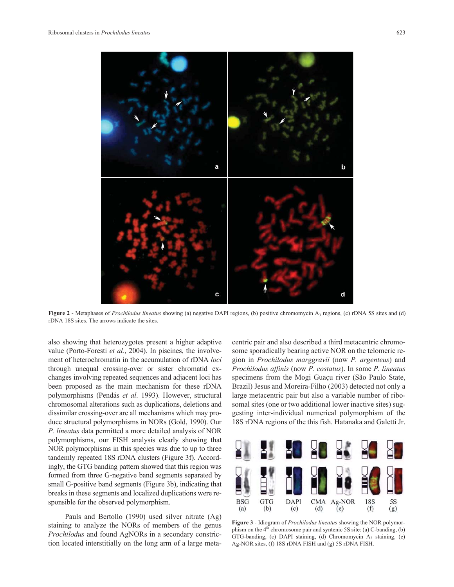

**Figure 2** - Metaphases of *Prochilodus lineatus* showing (a) negative DAPI regions, (b) positive chromomycin A<sub>3</sub> regions, (c) rDNA 5S sites and (d) rDNA 18S sites. The arrows indicate the sites.

also showing that heterozygotes present a higher adaptive value (Porto-Foresti *et al.*, 2004). In piscines, the involvement of heterochromatin in the accumulation of rDNA *loci* through unequal crossing-over or sister chromatid exchanges involving repeated sequences and adjacent loci has been proposed as the main mechanism for these rDNA polymorphisms (Pendás *et al*. 1993). However, structural chromosomal alterations such as duplications, deletions and dissimilar crossing-over are all mechanisms which may produce structural polymorphisms in NORs (Gold, 1990). Our *P. lineatus* data permitted a more detailed analysis of NOR polymorphisms, our FISH analysis clearly showing that NOR polymorphisms in this species was due to up to three tandemly repeated 18S rDNA clusters (Figure 3f). Accordingly, the GTG banding pattern showed that this region was formed from three G-negative band segments separated by small G-positive band segments (Figure 3b), indicating that breaks in these segments and localized duplications were responsible for the observed polymorphism.

Pauls and Bertollo (1990) used silver nitrate (Ag) staining to analyze the NORs of members of the genus *Prochilodus* and found AgNORs in a secondary constriction located interstitially on the long arm of a large metacentric pair and also described a third metacentric chromosome sporadically bearing active NOR on the telomeric region in *Prochilodus marggravii* (now *P. argenteus*) and *Prochilodus affinis* (now *P. costatus*). In some *P. lineatus* specimens from the Mogi Guaçu river (São Paulo State, Brazil) Jesus and Moreira-Filho (2003) detected not only a large metacentric pair but also a variable number of ribosomal sites (one or two additional lower inactive sites) suggesting inter-individual numerical polymorphism of the 18S rDNA regions of the this fish. Hatanaka and Galetti Jr.



**Figure 3** - Idiogram of *Prochilodus lineatus* showing the NOR polymorphism on the  $4<sup>th</sup>$  chromosome pair and syntenic 5S site: (a) C-banding, (b) GTG-banding, (c) DAPI staining, (d) Chromomycin A3 staining, (e) Ag-NOR sites, (f) 18S rDNA FISH and (g) 5S rDNA FISH.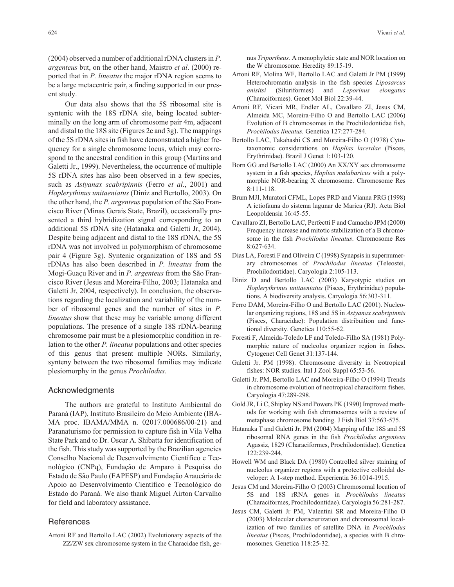(2004) observed a number of additional rDNA clusters in *P. argenteus* but, on the other hand, Maistro *et al*. (2000) reported that in *P. lineatus* the major rDNA region seems to be a large metacentric pair, a finding supported in our present study.

Our data also shows that the 5S ribosomal site is syntenic with the 18S rDNA site, being located subterminally on the long arm of chromosome pair 4m, adjacent and distal to the 18S site (Figures 2c and 3g). The mappings of the 5S rDNA sites in fish have demonstrated a higher frequency for a single chromosome locus, which may correspond to the ancestral condition in this group (Martins and Galetti Jr., 1999). Nevertheless, the occurrence of multiple 5S rDNA sites has also been observed in a few species, such as *Astyanax scabripinnis* (Ferro *et al*., 2001) and *Hoplerythinus unitaeniatus* (Diniz and Bertollo, 2003). On the other hand, the *P. argenteus* population of the São Francisco River (Minas Gerais State, Brazil), occasionally presented a third hybridization signal corresponding to an additional 5S rDNA site (Hatanaka and Galetti Jr, 2004). Despite being adjacent and distal to the 18S rDNA, the 5S rDNA was not involved in polymorphism of chromosome pair 4 (Figure 3g). Syntenic organization of 18S and 5S rDNAs has also been described in *P. lineatus* from the Mogi-Guaçu River and in *P. argenteus* from the São Francisco River (Jesus and Moreira-Filho, 2003; Hatanaka and Galetti Jr, 2004, respectively). In conclusion, the observations regarding the localization and variability of the number of ribosomal genes and the number of sites in *P. lineatus* show that these may be variable among different populations. The presence of a single 18S rDNA-bearing chromosome pair must be a plesiomorphic condition in relation to the other *P. lineatus* populations and other species of this genus that present multiple NORs. Similarly, synteny between the two ribosomal families may indicate plesiomorphy in the genus *Prochilodus*.

#### Acknowledgments

The authors are grateful to Instituto Ambiental do Paraná (IAP), Instituto Brasileiro do Meio Ambiente (IBA-MA proc. IBAMA/MMA n. 02017.000686/00-21) and Paranaturismo for permission to capture fish in Vila Velha State Park and to Dr. Oscar A. Shibatta for identification of the fish. This study was supported by the Brazilian agencies Conselho Nacional de Desenvolvimento Científico e Tecnológico (CNPq), Fundação de Amparo à Pesquisa do Estado de São Paulo (FAPESP) and Fundação Araucária de Apoio ao Desenvolvimento Científico e Tecnológico do Estado do Paraná. We also thank Miguel Airton Carvalho for field and laboratory assistance.

### References

Artoni RF and Bertollo LAC (2002) Evolutionary aspects of the ZZ/ZW sex chromosome system in the Characidae fish, genus *Triportheus*. A monophyletic state and NOR location on the W chromosome. Heredity 89:15-19.

- Artoni RF, Molina WF, Bertollo LAC and Galetti Jr PM (1999) Heterochromatin analysis in the fish species *Liposarcus anisitsi* (Siluriformes) and *Leporinus elongatus* (Characiformes). Genet Mol Biol 22:39-44.
- Artoni RF, Vicari MR, Endler AL, Cavallaro ZI, Jesus CM, Almeida MC, Moreira-Filho O and Bertollo LAC (2006) Evolution of B chromosomes in the Prochilodontidae fish, *Prochilodus lineatus.* Genetica 127:277-284.
- Bertollo LAC, Takahashi CS and Moreira-Filho O (1978) Cytotaxonomic considerations on *Hoplias lacerdae* (Pisces, Erythrinidae). Brazil J Genet 1:103-120.
- Born GG and Bertollo LAC (2000) An XX/XY sex chromosome system in a fish species, *Hoplias malabaricus* with a polymorphic NOR-bearing X chromosome. Chromosome Res 8:111-118.
- Brum MJI, Muratori CFML, Lopes PRD and Vianna PRG (1998) A ictiofauna do sistema lagunar de Marica (RJ). Acta Biol Leopoldensia 16:45-55.
- Cavallaro ZI, Bertollo LAC, Perfectti F and Camacho JPM (2000) Frequency increase and mitotic stabilization of a B chromosome in the fish *Prochilodus lineatus*. Chromosome Res 8:627-634.
- Dias LA, Foresti F and Oliveira C (1998) Synapsis in supernumerary chromosomes of *Prochilodus lineatus* (Teleostei, Prochilodontidae). Caryologia 2:105-113.
- Diniz D and Bertollo LAC (2003) Karyotypic studies on *Hoplerythrinus unitaeniatus* (Pisces, Erythrinidae) populations. A biodiversity analysis. Caryologia 56:303-311.
- Ferro DAM, Moreira-Filho O and Bertollo LAC (2001). Nucleolar organizing regions, 18S and 5S in *Astyanax scabripinnis* (Pisces, Characidae): Population distribuition and functional diversity. Genetica 110:55-62.
- Foresti F, Almeida-Toledo LF and Toledo-Filho SA (1981) Polymorphic nature of nucleolus organizer region in fishes. Cytogenet Cell Genet 31:137-144.
- Galetti Jr. PM (1998). Chromosome diversity in Neotropical fishes: NOR studies. Ital J Zool Suppl 65:53-56.
- Galetti Jr. PM, Bertollo LAC and Moreira-Filho O (1994) Trends in chromosome evolution of neotropical characiform fishes. Caryologia 47:289-298.
- Gold JR, Li C, Shipley NS and Powers PK (1990) Improved methods for working with fish chromosomes with a review of metaphase chromosome banding. J Fish Biol 37:563-575.
- Hatanaka T and Galetti Jr. PM (2004) Mapping of the 18S and 5S ribosomal RNA genes in the fish *Prochilodus argenteus* Agassiz, 1829 (Characiformes, Prochilodontidae). Genetica 122:239-244.
- Howell WM and Black DA (1980) Controlled silver staining of nucleolus organizer regions with a protective colloidal developer: A 1-step method. Experientia 36:1014-1915.
- Jesus CM and Moreira-Filho O (2003) Chromosomal location of 5S and 18S rRNA genes in *Prochilodus lineatus* (Characiformes, Prochilodontidae). Caryologia 56:281-287.
- Jesus CM, Galetti Jr PM, Valentini SR and Moreira-Filho O (2003) Molecular characterization and chromosomal localization of two families of satellite DNA in *Prochilodus lineatus* (Pisces, Prochilodontidae), a species with B chromosomes. Genetica 118:25-32.